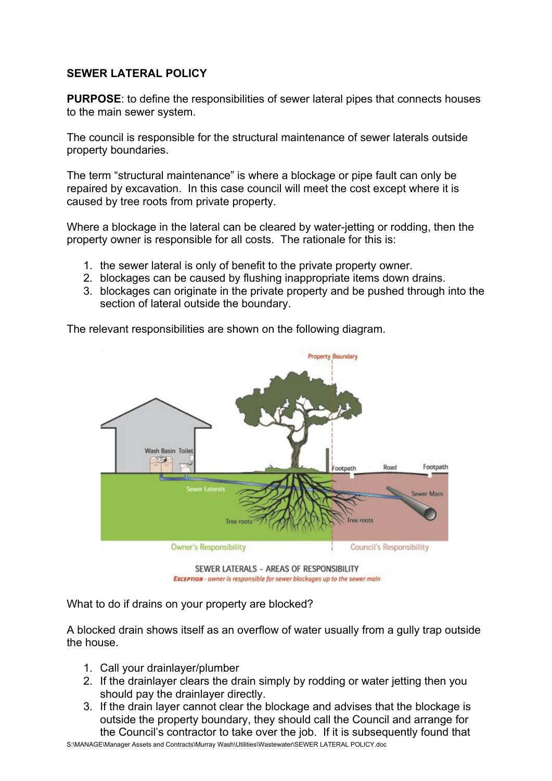## **SEWER LATERAL POLICY**

**PURPOSE:** to define the responsibilities of sewer lateral pipes that connects houses to the main sewer system.

The council is responsible for the structural maintenance of sewer laterals outside property boundaries.

The term "structural maintenance" is where a blockage or pipe fault can only be repaired by excavation. In this case council will meet the cost except where it is caused by tree roots from private property.

Where a blockage in the lateral can be cleared by water-jetting or rodding, then the property owner is responsible for all costs. The rationale for this is:

- 1. the sewer lateral is only of benefit to the private property owner.
- 2. blockages can be caused by flushing inappropriate items down drains.
- 3. blockages can originate in the private property and be pushed through into the section of lateral outside the boundary.

The relevant responsibilities are shown on the following diagram.



What to do if drains on your property are blocked?

A blocked drain shows itself as an overflow of water usually from a gully trap outside the house.

- 1. Call your drainlayer/plumber
- 2. If the drainlayer clears the drain simply by rodding or water jetting then you should pay the drainlayer directly.
- 3. If the drain layer cannot clear the blockage and advises that the blockage is outside the property boundary, they should call the Council and arrange for the Council's contractor to take over the job. If it is subsequently found that

S:\MANAGE\Manager Assets and Contracts\Murray Wash\Utilities\Wastewater\SEWER LATERAL POLICY.doc